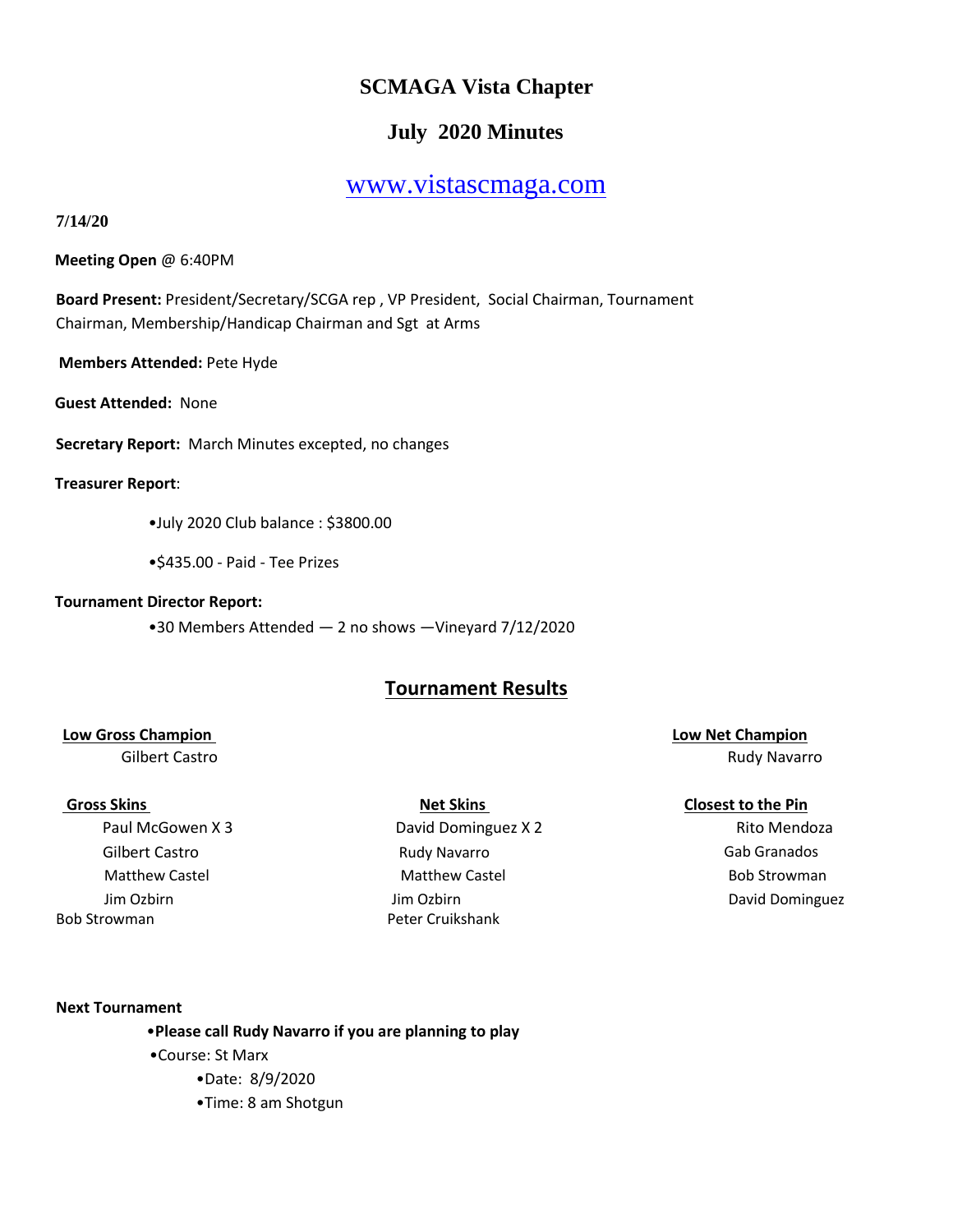# **SCMAGA Vista Chapter**

# **July 2020 Minutes**

# [www.vistascmaga.com](http://www.vistascmaga.com/)

# **7/14/20**

**Meeting Open** @ 6:40PM

**Board Present:** President/Secretary/SCGA rep , VP President, Social Chairman, Tournament Chairman, Membership/Handicap Chairman and Sgt at Arms

**Members Attended:** Pete Hyde

**Guest Attended:** None

**Secretary Report:** March Minutes excepted, no changes

# **Treasurer Report**:

- •July 2020 Club balance : \$3800.00
- •\$435.00 Paid Tee Prizes

# **Tournament Director Report:**

•30 Members Attended — 2 no shows —Vineyard 7/12/2020

# **Tournament Results**

# **Low Gross Champion** <br> **Low Gross Champion**

Gilbert Castro **Gab Granados** Rudy Navarro **Gab Granados** Gab Granados Jim Ozbirn Jim Ozbirn Bob Strowman Peter Cruikshank

Paul McGowen X 3 **David Dominguez X 2** Rito Mendoza Matthew Castel **Matthew Castel** Bob Strowman Matthew Castel **Bob Strowman** 

Gilbert Castro **Base Castro Access 1999, Inc. and Science Castro Access 1999, Inc. Access 1999, Inc. Access 199** 

# **Gross Skins Gross Skins Closest to the Pin**

David Dominguez

#### **Next Tournament**

•**Please call Rudy Navarro if you are planning to play**  •Course: St Marx •Date: 8/9/2020

•Time: 8 am Shotgun